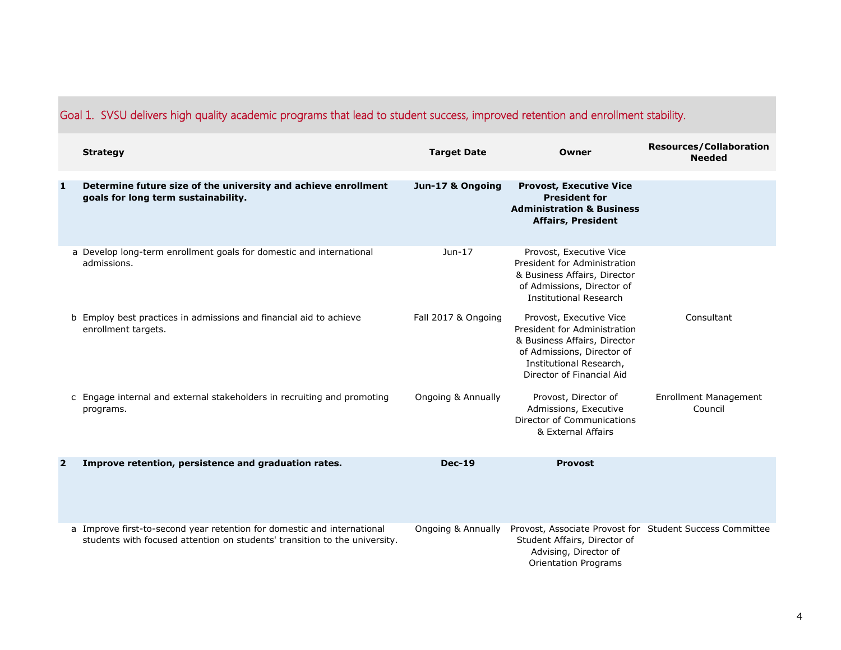|                         | <b>Strategy</b>                                                                                                                                       | <b>Target Date</b>  | Owner                                                                                                                                                                         | <b>Resources/Collaboration</b><br><b>Needed</b> |
|-------------------------|-------------------------------------------------------------------------------------------------------------------------------------------------------|---------------------|-------------------------------------------------------------------------------------------------------------------------------------------------------------------------------|-------------------------------------------------|
| 1                       | Determine future size of the university and achieve enrollment<br>goals for long term sustainability.                                                 | Jun-17 & Ongoing    | <b>Provost, Executive Vice</b><br><b>President for</b><br><b>Administration &amp; Business</b><br><b>Affairs, President</b>                                                   |                                                 |
|                         | a Develop long-term enrollment goals for domestic and international<br>admissions.                                                                    | $Jun-17$            | Provost, Executive Vice<br>President for Administration<br>& Business Affairs, Director<br>of Admissions, Director of<br><b>Institutional Research</b>                        |                                                 |
|                         | b Employ best practices in admissions and financial aid to achieve<br>enrollment targets.                                                             | Fall 2017 & Ongoing | Provost, Executive Vice<br>President for Administration<br>& Business Affairs, Director<br>of Admissions, Director of<br>Institutional Research,<br>Director of Financial Aid | Consultant                                      |
|                         | c Engage internal and external stakeholders in recruiting and promoting<br>programs.                                                                  | Ongoing & Annually  | Provost, Director of<br>Admissions, Executive<br>Director of Communications<br>& External Affairs                                                                             | <b>Enrollment Management</b><br>Council         |
| $\overline{\mathbf{2}}$ | Improve retention, persistence and graduation rates.                                                                                                  | <b>Dec-19</b>       | <b>Provost</b>                                                                                                                                                                |                                                 |
|                         | a Improve first-to-second year retention for domestic and international<br>students with focused attention on students' transition to the university. | Ongoing & Annually  | Provost, Associate Provost for Student Success Committee<br>Student Affairs, Director of<br>Advising, Director of<br><b>Orientation Programs</b>                              |                                                 |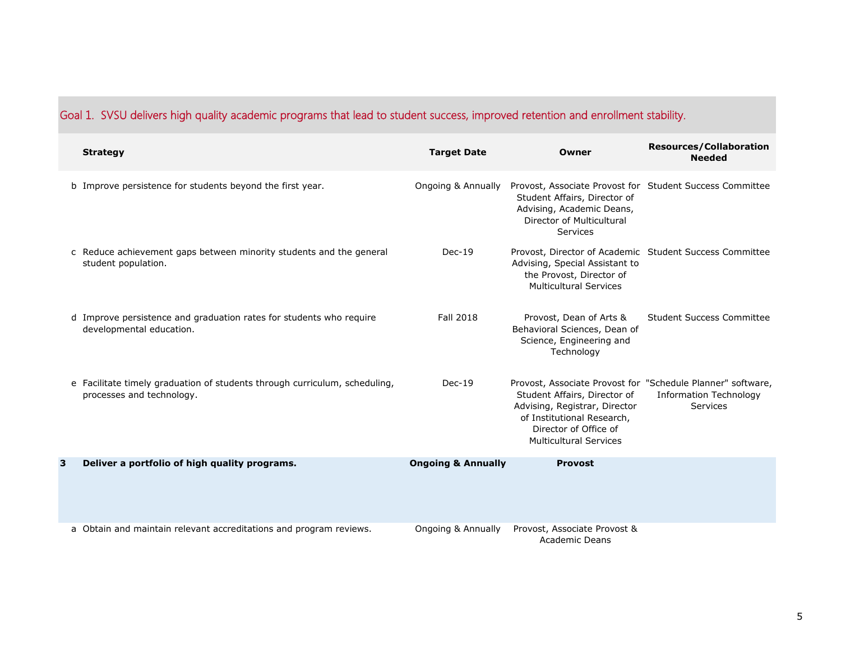|   | <b>Strategy</b>                                                                                         | <b>Target Date</b>            | Owner                                                                                                                                                                                                                | <b>Resources/Collaboration</b><br><b>Needed</b>  |
|---|---------------------------------------------------------------------------------------------------------|-------------------------------|----------------------------------------------------------------------------------------------------------------------------------------------------------------------------------------------------------------------|--------------------------------------------------|
|   | b Improve persistence for students beyond the first year.                                               | Ongoing & Annually            | Provost, Associate Provost for Student Success Committee<br>Student Affairs, Director of<br>Advising, Academic Deans,<br>Director of Multicultural<br>Services                                                       |                                                  |
|   | c Reduce achievement gaps between minority students and the general<br>student population.              | $Dec-19$                      | Provost, Director of Academic Student Success Committee<br>Advising, Special Assistant to<br>the Provost, Director of<br><b>Multicultural Services</b>                                                               |                                                  |
|   | d Improve persistence and graduation rates for students who require<br>developmental education.         | <b>Fall 2018</b>              | Provost, Dean of Arts &<br>Behavioral Sciences, Dean of<br>Science, Engineering and<br>Technology                                                                                                                    | Student Success Committee                        |
|   | e Facilitate timely graduation of students through curriculum, scheduling,<br>processes and technology. | $Dec-19$                      | Provost, Associate Provost for "Schedule Planner" software,<br>Student Affairs, Director of<br>Advising, Registrar, Director<br>of Institutional Research,<br>Director of Office of<br><b>Multicultural Services</b> | <b>Information Technology</b><br><b>Services</b> |
| 3 | Deliver a portfolio of high quality programs.                                                           | <b>Ongoing &amp; Annually</b> | <b>Provost</b>                                                                                                                                                                                                       |                                                  |
|   | a Obtain and maintain relevant accreditations and program reviews.                                      | Ongoing & Annually            | Provost, Associate Provost &<br><b>Academic Deans</b>                                                                                                                                                                |                                                  |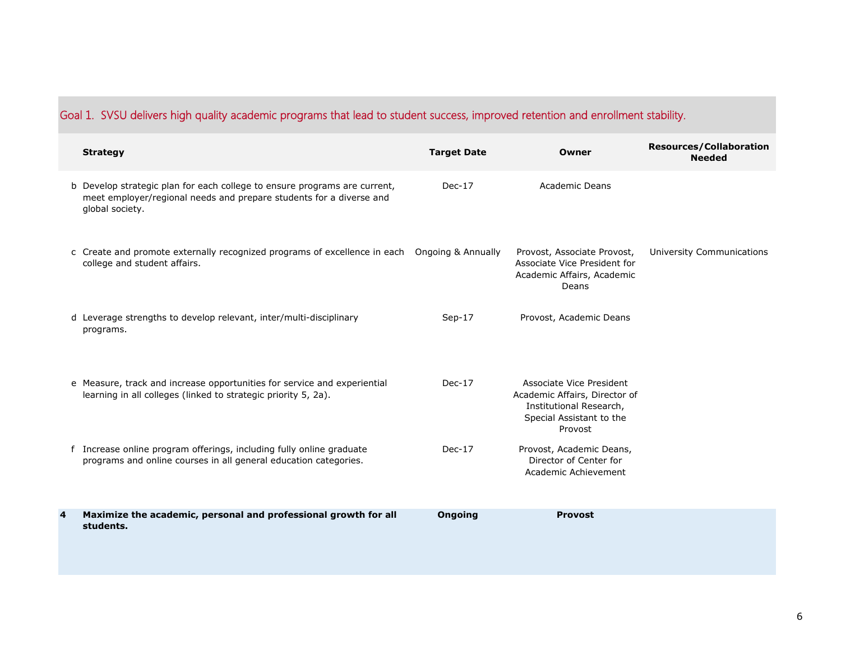|   | <b>Strategy</b>                                                                                                                                                     | <b>Target Date</b> | Owner                                                                                                                       | <b>Resources/Collaboration</b><br><b>Needed</b> |
|---|---------------------------------------------------------------------------------------------------------------------------------------------------------------------|--------------------|-----------------------------------------------------------------------------------------------------------------------------|-------------------------------------------------|
|   | b Develop strategic plan for each college to ensure programs are current,<br>meet employer/regional needs and prepare students for a diverse and<br>global society. | $Dec-17$           | Academic Deans                                                                                                              |                                                 |
|   | c Create and promote externally recognized programs of excellence in each Ongoing & Annually<br>college and student affairs.                                        |                    | Provost, Associate Provost,<br>Associate Vice President for<br>Academic Affairs, Academic<br>Deans                          | University Communications                       |
|   | d Leverage strengths to develop relevant, inter/multi-disciplinary<br>programs.                                                                                     | $Sep-17$           | Provost, Academic Deans                                                                                                     |                                                 |
|   | e Measure, track and increase opportunities for service and experiential<br>learning in all colleges (linked to strategic priority 5, 2a).                          | $Dec-17$           | Associate Vice President<br>Academic Affairs, Director of<br>Institutional Research,<br>Special Assistant to the<br>Provost |                                                 |
|   | f Increase online program offerings, including fully online graduate<br>programs and online courses in all general education categories.                            | $Dec-17$           | Provost, Academic Deans,<br>Director of Center for<br>Academic Achievement                                                  |                                                 |
| 4 | Maximize the academic, personal and professional growth for all<br>students.                                                                                        | <b>Ongoing</b>     | <b>Provost</b>                                                                                                              |                                                 |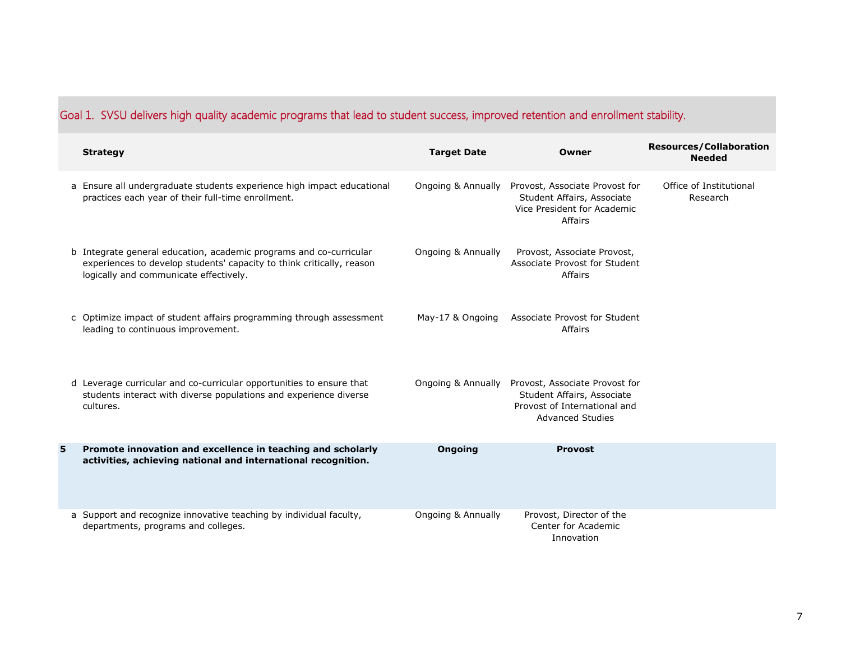|   | <b>Strategy</b>                                                                                                                                                                       | <b>Target Date</b> | Owner                                                                                                                   | <b>Resources/Collaboration</b><br><b>Needed</b> |
|---|---------------------------------------------------------------------------------------------------------------------------------------------------------------------------------------|--------------------|-------------------------------------------------------------------------------------------------------------------------|-------------------------------------------------|
|   | a Ensure all undergraduate students experience high impact educational<br>practices each year of their full-time enrollment.                                                          | Ongoing & Annually | Provost, Associate Provost for<br>Student Affairs, Associate<br>Vice President for Academic<br>Affairs                  | Office of Institutional<br>Research             |
|   | b Integrate general education, academic programs and co-curricular<br>experiences to develop students' capacity to think critically, reason<br>logically and communicate effectively. | Ongoing & Annually | Provost, Associate Provost,<br>Associate Provost for Student<br>Affairs                                                 |                                                 |
|   | c Optimize impact of student affairs programming through assessment<br>leading to continuous improvement.                                                                             | May-17 & Ongoing   | Associate Provost for Student<br>Affairs                                                                                |                                                 |
|   | d Leverage curricular and co-curricular opportunities to ensure that<br>students interact with diverse populations and experience diverse<br>cultures.                                | Ongoing & Annually | Provost, Associate Provost for<br>Student Affairs, Associate<br>Provost of International and<br><b>Advanced Studies</b> |                                                 |
| 5 | Promote innovation and excellence in teaching and scholarly<br>activities, achieving national and international recognition.                                                          | <b>Ongoing</b>     | <b>Provost</b>                                                                                                          |                                                 |
|   | a Support and recognize innovative teaching by individual faculty,<br>departments, programs and colleges.                                                                             | Ongoing & Annually | Provost, Director of the<br>Center for Academic<br>Innovation                                                           |                                                 |